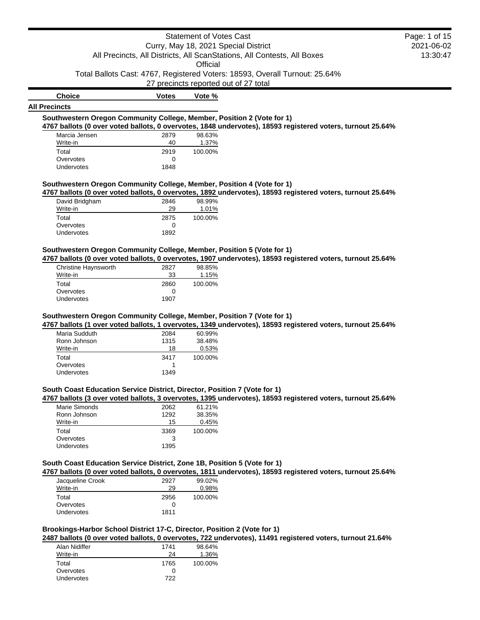**Official** 

Total Ballots Cast: 4767, Registered Voters: 18593, Overall Turnout: 25.64%

27 precincts reported out of 27 total

| <b>Choice</b>                                                                            | <b>Votes</b> | Vote %  |                                                                                                            |
|------------------------------------------------------------------------------------------|--------------|---------|------------------------------------------------------------------------------------------------------------|
| <b>Precincts</b>                                                                         |              |         |                                                                                                            |
| Southwestern Oregon Community College, Member, Position 2 (Vote for 1)                   |              |         |                                                                                                            |
|                                                                                          |              |         | 4767 ballots (0 over voted ballots, 0 overvotes, 1848 undervotes), 18593 registered voters, turnout 25.64% |
| Marcia Jensen                                                                            | 2879         | 98.63%  |                                                                                                            |
| Write-in                                                                                 | 40           | 1.37%   |                                                                                                            |
| Total                                                                                    | 2919         | 100.00% |                                                                                                            |
| Overvotes                                                                                | 0            |         |                                                                                                            |
| <b>Undervotes</b>                                                                        | 1848         |         |                                                                                                            |
| Southwestern Oregon Community College, Member, Position 4 (Vote for 1)<br>David Bridgham | 2846         | 98.99%  | 4767 ballots (0 over voted ballots, 0 overvotes, 1892 undervotes), 18593 registered voters, turnout 25.64% |
| Write-in                                                                                 | 29           | 1.01%   |                                                                                                            |
| Total                                                                                    | 2875         | 100.00% |                                                                                                            |
| Overvotes                                                                                | 0            |         |                                                                                                            |
| Undervotes                                                                               | 1892         |         |                                                                                                            |
|                                                                                          |              |         |                                                                                                            |

### **Southwestern Oregon Community College, Member, Position 5 (Vote for 1)**

**4767 ballots (0 over voted ballots, 0 overvotes, 1907 undervotes), 18593 registered voters, turnout 25.64%**

| Christine Haynsworth | 2827 | 98.85%  |
|----------------------|------|---------|
| Write-in             | 33   | 1.15%   |
| Total                | 2860 | 100.00% |
| Overvotes            | O    |         |
| Undervotes           | 1907 |         |

**All Precincts**

#### **Southwestern Oregon Community College, Member, Position 7 (Vote for 1)**

**4767 ballots (1 over voted ballots, 1 overvotes, 1349 undervotes), 18593 registered voters, turnout 25.64%**

| Maria Sudduth     | 2084 | 60.99%  |
|-------------------|------|---------|
| Ronn Johnson      | 1315 | 38.48%  |
| Write-in          | 18   | 0.53%   |
| Total             | 3417 | 100.00% |
| Overvotes         |      |         |
| <b>Undervotes</b> | 1349 |         |

### **South Coast Education Service District, Director, Position 7 (Vote for 1)**

### **4767 ballots (3 over voted ballots, 3 overvotes, 1395 undervotes), 18593 registered voters, turnout 25.64%**

| 2062 | 61.21%  |
|------|---------|
| 1292 | 38.35%  |
| 15   | 0.45%   |
| 3369 | 100.00% |
| 3    |         |
| 1395 |         |
|      |         |

# **South Coast Education Service District, Zone 1B, Position 5 (Vote for 1)**

**4767 ballots (0 over voted ballots, 0 overvotes, 1811 undervotes), 18593 registered voters, turnout 25.64%**

| Jacqueline Crook | 2927 | 99.02%  |
|------------------|------|---------|
| Write-in         | 29   | 0.98%   |
| Total            | 2956 | 100.00% |
| Overvotes        |      |         |
| Undervotes       | 1811 |         |

# **Brookings-Harbor School District 17-C, Director, Position 2 (Vote for 1)**

**2487 ballots (0 over voted ballots, 0 overvotes, 722 undervotes), 11491 registered voters, turnout 21.64%**

| Alan Nidiffer | 1741 | 98.64%  |
|---------------|------|---------|
| Write-in      | 24   | 1.36%   |
| Total         | 1765 | 100.00% |
| Overvotes     |      |         |
| Undervotes    | 722  |         |

# 2021-06-02 13:30:47 Page: 1 of 15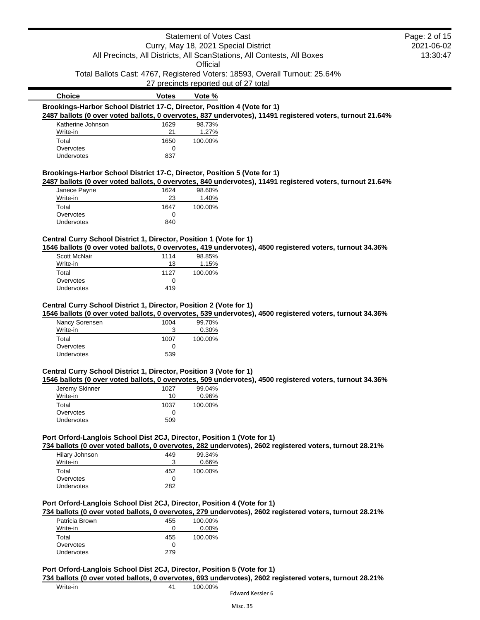# Statement of Votes Cast Curry, May 18, 2021 Special District All Precincts, All Districts, All ScanStations, All Contests, All Boxes **Official** Total Ballots Cast: 4767, Registered Voters: 18593, Overall Turnout: 25.64% 27 precincts reported out of 27 total **Choice Votes Vote % Brookings-Harbor School District 17-C, Director, Position 4 (Vote for 1) 2487 ballots (0 over voted ballots, 0 overvotes, 837 undervotes), 11491 registered voters, turnout 21.64%** Katherine Johnson 1629 98.73% Write-in 21 1.27% Total 1650 100.00% Overvotes 0 Undervotes **Brookings-Harbor School District 17-C, Director, Position 5 (Vote for 1) 2487 ballots (0 over voted ballots, 0 overvotes, 840 undervotes), 11491 registered voters, turnout 21.64%** Janece Payne 1624 98.60% Write-in 23 1.40% Total 1647 100.00% Overvotes 0

2021-06-02 13:30:47

Page: 2 of 15

# **Central Curry School District 1, Director, Position 1 (Vote for 1)**

**1546 ballots (0 over voted ballots, 0 overvotes, 419 undervotes), 4500 registered voters, turnout 34.36%**

| Scott McNair      | 1114 | 98.85%  |
|-------------------|------|---------|
| Write-in          | 13   | 1.15%   |
| Total             | 1127 | 100.00% |
| Overvotes         | 0    |         |
| <b>Undervotes</b> | 419  |         |

Undervotes 840

### **Central Curry School District 1, Director, Position 2 (Vote for 1)**

**1546 ballots (0 over voted ballots, 0 overvotes, 539 undervotes), 4500 registered voters, turnout 34.36%**

| Nancy Sorensen | 1004 | 99.70%  |
|----------------|------|---------|
| Write-in       | 3    | 0.30%   |
| Total          | 1007 | 100.00% |
| Overvotes      | O    |         |
| Undervotes     | 539  |         |

#### **Central Curry School District 1, Director, Position 3 (Vote for 1)**

**1546 ballots (0 over voted ballots, 0 overvotes, 509 undervotes), 4500 registered voters, turnout 34.36%**

| Jeremy Skinner | 1027 | 99.04%   |
|----------------|------|----------|
| Write-in       | 10   | $0.96\%$ |
| Total          | 1037 | 100.00%  |
| Overvotes      | 0    |          |
| Undervotes     | 509  |          |

#### **Port Orford-Langlois School Dist 2CJ, Director, Position 1 (Vote for 1)**

**734 ballots (0 over voted ballots, 0 overvotes, 282 undervotes), 2602 registered voters, turnout 28.21%**

| Hilary Johnson | 449 | 99.34%  |
|----------------|-----|---------|
| Write-in       | 3   | 0.66%   |
| Total          | 452 | 100.00% |
| Overvotes      | 0   |         |
| Undervotes     | 282 |         |

# **Port Orford-Langlois School Dist 2CJ, Director, Position 4 (Vote for 1)**

**734 ballots (0 over voted ballots, 0 overvotes, 279 undervotes), 2602 registered voters, turnout 28.21%**

| Patricia Brown | 455 | 100.00%  |
|----------------|-----|----------|
| Write-in       | 0   | $0.00\%$ |
| Total          | 455 | 100.00%  |
| Overvotes      | 0   |          |
| Undervotes     | 279 |          |

#### **Port Orford-Langlois School Dist 2CJ, Director, Position 5 (Vote for 1)**

**734 ballots (0 over voted ballots, 0 overvotes, 693 undervotes), 2602 registered voters, turnout 28.21%**

Write-in 200.00%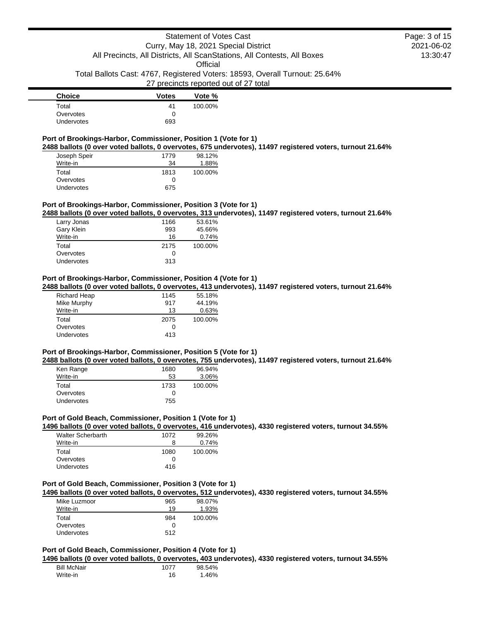**Official** 

Total Ballots Cast: 4767, Registered Voters: 18593, Overall Turnout: 25.64%

### 27 precincts reported out of 27 total

| <b>Choice</b>     | <b>Votes</b> | Vote %  |
|-------------------|--------------|---------|
| Total             | 41           | 100.00% |
| Overvotes         |              |         |
| <b>Undervotes</b> | 693          |         |

# **Port of Brookings-Harbor, Commissioner, Position 1 (Vote for 1)**

**2488 ballots (0 over voted ballots, 0 overvotes, 675 undervotes), 11497 registered voters, turnout 21.64%**

| Joseph Speir      | 1779 | 98.12%  |
|-------------------|------|---------|
| Write-in          | 34   | 1.88%   |
| Total             | 1813 | 100.00% |
| Overvotes         | O    |         |
| <b>Undervotes</b> | 675  |         |

#### **Port of Brookings-Harbor, Commissioner, Position 3 (Vote for 1)**

**2488 ballots (0 over voted ballots, 0 overvotes, 313 undervotes), 11497 registered voters, turnout 21.64%**

| Larry Jonas | 1166 | 53.61%  |
|-------------|------|---------|
| Gary Klein  | 993  | 45.66%  |
| Write-in    | 16   | 0.74%   |
| Total       | 2175 | 100.00% |
| Overvotes   | 0    |         |
| Undervotes  | 313  |         |

# **Port of Brookings-Harbor, Commissioner, Position 4 (Vote for 1)**

**2488 ballots (0 over voted ballots, 0 overvotes, 413 undervotes), 11497 registered voters, turnout 21.64%**

| <b>Richard Heap</b> | 1145 | 55.18%  |
|---------------------|------|---------|
| Mike Murphy         | 917  | 44.19%  |
| Write-in            | 13   | 0.63%   |
| Total               | 2075 | 100.00% |
| Overvotes           | 0    |         |
| Undervotes          | 413  |         |

### **Port of Brookings-Harbor, Commissioner, Position 5 (Vote for 1)**

**2488 ballots (0 over voted ballots, 0 overvotes, 755 undervotes), 11497 registered voters, turnout 21.64%**

| Ken Range         | 1680 | 96.94%  |
|-------------------|------|---------|
| Write-in          | 53   | 3.06%   |
| Total             | 1733 | 100.00% |
| Overvotes         | 0    |         |
| <b>Undervotes</b> | 755  |         |

# **Port of Gold Beach, Commissioner, Position 1 (Vote for 1)**

**1496 ballots (0 over voted ballots, 0 overvotes, 416 undervotes), 4330 registered voters, turnout 34.55%**

| Walter Scherbarth | 1072 | 99.26%  |
|-------------------|------|---------|
| Write-in          | 8    | 0.74%   |
| Total             | 1080 | 100.00% |
| Overvotes         | O    |         |
| Undervotes        | 416  |         |

### **Port of Gold Beach, Commissioner, Position 3 (Vote for 1)**

**1496 ballots (0 over voted ballots, 0 overvotes, 512 undervotes), 4330 registered voters, turnout 34.55%**

| Mike Luzmoor      | 965 | 98.07%  |
|-------------------|-----|---------|
| Write-in          | 19  | 1.93%   |
| Total             | 984 | 100.00% |
| Overvotes         | 0   |         |
| <b>Undervotes</b> | 512 |         |

# **Port of Gold Beach, Commissioner, Position 4 (Vote for 1)**

**1496 ballots (0 over voted ballots, 0 overvotes, 403 undervotes), 4330 registered voters, turnout 34.55%**

| <b>Bill McNair</b> | 1077 | 98.54% |
|--------------------|------|--------|
| Write-in           | 16   | 1.46%  |

2021-06-02 13:30:47 Page: 3 of 15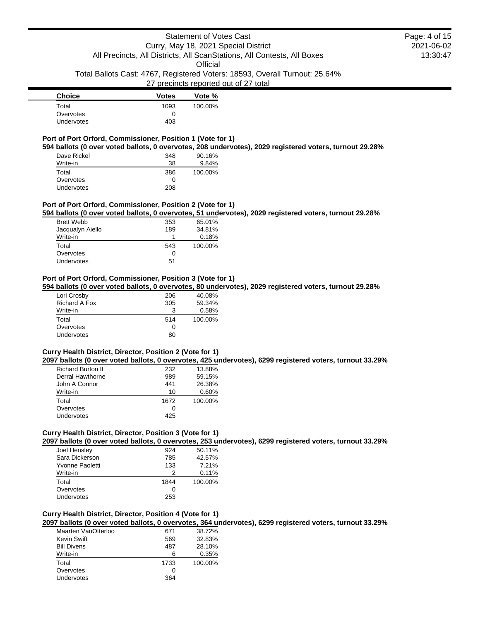**Official** 

Total Ballots Cast: 4767, Registered Voters: 18593, Overall Turnout: 25.64%

# 27 precincts reported out of 27 total

| <b>Choice</b> | <b>Votes</b> | Vote %  |
|---------------|--------------|---------|
| Total         | 1093         | 100.00% |
| Overvotes     | 0            |         |
| Undervotes    | 403          |         |

### **Port of Port Orford, Commissioner, Position 1 (Vote for 1)**

**594 ballots (0 over voted ballots, 0 overvotes, 208 undervotes), 2029 registered voters, turnout 29.28%**

| Dave Rickel | 348 | 90.16%  |
|-------------|-----|---------|
| Write-in    | 38  | 9.84%   |
| Total       | 386 | 100.00% |
| Overvotes   | Ω   |         |
| Undervotes  | 208 |         |

#### **Port of Port Orford, Commissioner, Position 2 (Vote for 1)**

**594 ballots (0 over voted ballots, 0 overvotes, 51 undervotes), 2029 registered voters, turnout 29.28%**

| <b>Brett Webb</b> | 353 | 65.01%  |
|-------------------|-----|---------|
| Jacqualyn Aiello  | 189 | 34.81%  |
| Write-in          |     | 0.18%   |
| Total             | 543 | 100.00% |
| Overvotes         | Ω   |         |
| Undervotes        | 51  |         |

#### **Port of Port Orford, Commissioner, Position 3 (Vote for 1)**

**594 ballots (0 over voted ballots, 0 overvotes, 80 undervotes), 2029 registered voters, turnout 29.28%**

| Lori Crosby   | 206 | 40.08%  |
|---------------|-----|---------|
| Richard A Fox | 305 | 59.34%  |
| Write-in      | 3   | 0.58%   |
| Total         | 514 | 100.00% |
| Overvotes     | O   |         |
| Undervotes    | 80  |         |

### **Curry Health District, Director, Position 2 (Vote for 1)**

**2097 ballots (0 over voted ballots, 0 overvotes, 425 undervotes), 6299 registered voters, turnout 33.29%**

| <b>Richard Burton II</b> | 232  | 13.88%  |
|--------------------------|------|---------|
| Derral Hawthorne         | 989  | 59.15%  |
| John A Connor            | 441  | 26.38%  |
| Write-in                 | 10   | 0.60%   |
| Total                    | 1672 | 100.00% |
| Overvotes                | 0    |         |
| Undervotes               | 425  |         |

# **Curry Health District, Director, Position 3 (Vote for 1)**

**2097 ballots (0 over voted ballots, 0 overvotes, 253 undervotes), 6299 registered voters, turnout 33.29%**

| Joel Hensley    | 924  | 50.11%  |
|-----------------|------|---------|
| Sara Dickerson  | 785  | 42.57%  |
| Yvonne Paoletti | 133  | 7.21%   |
| Write-in        | 2    | 0.11%   |
| Total           | 1844 | 100.00% |
| Overvotes       | O    |         |
| Undervotes      | 253  |         |

# **Curry Health District, Director, Position 4 (Vote for 1)**

**2097 ballots (0 over voted ballots, 0 overvotes, 364 undervotes), 6299 registered voters, turnout 33.29%**

| Maarten VanOtterloo | 671  | 38.72%  |
|---------------------|------|---------|
| Kevin Swift         | 569  | 32.83%  |
| <b>Bill Divens</b>  | 487  | 28.10%  |
| Write-in            | ิค   | 0.35%   |
| Total               | 1733 | 100.00% |
| Overvotes           |      |         |
| Undervotes          | 364  |         |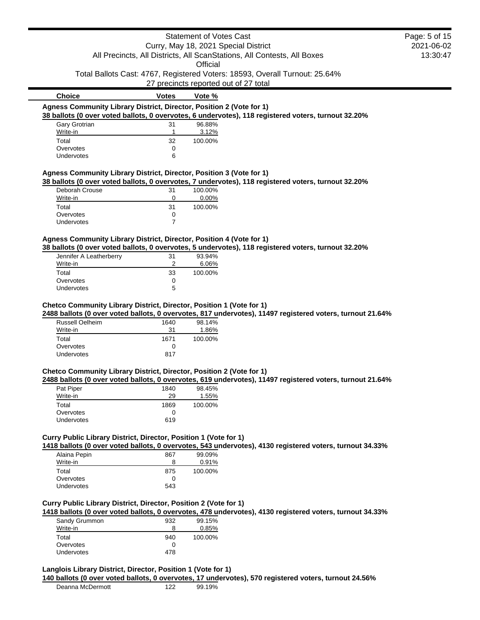|                                                                      |                | Statement of Votes Cast |                                                                                                     | Page: 5 of 15 |
|----------------------------------------------------------------------|----------------|-------------------------|-----------------------------------------------------------------------------------------------------|---------------|
|                                                                      |                |                         | Curry, May 18, 2021 Special District                                                                | 2021-06-02    |
|                                                                      |                |                         | All Precincts, All Districts, All ScanStations, All Contests, All Boxes                             | 13:30:47      |
|                                                                      |                | Official                |                                                                                                     |               |
|                                                                      |                |                         | Total Ballots Cast: 4767, Registered Voters: 18593, Overall Turnout: 25.64%                         |               |
|                                                                      |                |                         |                                                                                                     |               |
|                                                                      |                |                         | 27 precincts reported out of 27 total                                                               |               |
| <b>Choice</b>                                                        | <b>Votes</b>   | Vote %                  |                                                                                                     |               |
| Agness Community Library District, Director, Position 2 (Vote for 1) |                |                         |                                                                                                     |               |
|                                                                      |                |                         | 38 ballots (0 over voted ballots, 0 overvotes, 6 undervotes), 118 registered voters, turnout 32.20% |               |
| Gary Grotrian                                                        | 31             | 96.88%                  |                                                                                                     |               |
| Write-in                                                             |                | 3.12%                   |                                                                                                     |               |
| Total                                                                | 32             | 100.00%                 |                                                                                                     |               |
| Overvotes                                                            | 0              |                         |                                                                                                     |               |
| Undervotes                                                           | 6              |                         |                                                                                                     |               |
| Agness Community Library District, Director, Position 3 (Vote for 1) |                |                         |                                                                                                     |               |
|                                                                      |                |                         | 38 ballots (0 over voted ballots, 0 overvotes, 7 undervotes), 118 registered voters, turnout 32.20% |               |
| Deborah Crouse                                                       | 31             | 100.00%                 |                                                                                                     |               |
| Write-in                                                             | 0              | 0.00%                   |                                                                                                     |               |
| Total                                                                | 31             | 100.00%                 |                                                                                                     |               |
| Overvotes                                                            | 0              |                         |                                                                                                     |               |
| Undervotes                                                           | $\overline{7}$ |                         |                                                                                                     |               |
| Agness Community Library District, Director, Position 4 (Vote for 1) |                |                         |                                                                                                     |               |
|                                                                      |                |                         | 38 ballots (0 over voted ballots, 0 overvotes, 5 undervotes), 118 registered voters, turnout 32.20% |               |
| Jennifer A Leatherberry                                              | 31             | 93.94%                  |                                                                                                     |               |
| Write-in                                                             | 2              | 6.06%                   |                                                                                                     |               |

| <b>JULIE A LUGATION CITY</b> | $\cdot$ | <u>JJ.JT/U</u> |
|------------------------------|---------|----------------|
| Write-in                     |         | 6.06%          |
| Total                        | 33      | 100.00%        |
| Overvotes                    | 0       |                |
| <b>Undervotes</b>            | 5       |                |

# **Chetco Community Library District, Director, Position 1 (Vote for 1)**

**2488 ballots (0 over voted ballots, 0 overvotes, 817 undervotes), 11497 registered voters, turnout 21.64%**

| Russell Oelheim | 1640 | 98.14%  |
|-----------------|------|---------|
| Write-in        | 31   | 1.86%   |
| Total           | 1671 | 100.00% |
| Overvotes       | O    |         |
| Undervotes      | 817  |         |

#### **Chetco Community Library District, Director, Position 2 (Vote for 1)**

**2488 ballots (0 over voted ballots, 0 overvotes, 619 undervotes), 11497 registered voters, turnout 21.64%**

| Pat Piper  | 1840 | 98.45%  |
|------------|------|---------|
| Write-in   | 29   | 1.55%   |
| Total      | 1869 | 100.00% |
| Overvotes  | O    |         |
| Undervotes | 619  |         |

# **Curry Public Library District, Director, Position 1 (Vote for 1)**

**1418 ballots (0 over voted ballots, 0 overvotes, 543 undervotes), 4130 registered voters, turnout 34.33%**

| Alaina Pepin      | 867 | 99.09%  |
|-------------------|-----|---------|
| Write-in          | 8   | 0.91%   |
| Total             | 875 | 100.00% |
| Overvotes         | 0   |         |
| <b>Undervotes</b> | 543 |         |
|                   |     |         |

# **Curry Public Library District, Director, Position 2 (Vote for 1)**

**1418 ballots (0 over voted ballots, 0 overvotes, 478 undervotes), 4130 registered voters, turnout 34.33%**

| Sandy Grummon     | 932 | 99.15%  |
|-------------------|-----|---------|
| Write-in          | 8   | 0.85%   |
| Total             | 940 | 100.00% |
| Overvotes         | Ω   |         |
| <b>Undervotes</b> | 478 |         |

# **Langlois Library District, Director, Position 1 (Vote for 1)**

**140 ballots (0 over voted ballots, 0 overvotes, 17 undervotes), 570 registered voters, turnout 24.56%**

| Deanna McDermott | 122 | 99.19% |
|------------------|-----|--------|
|                  |     |        |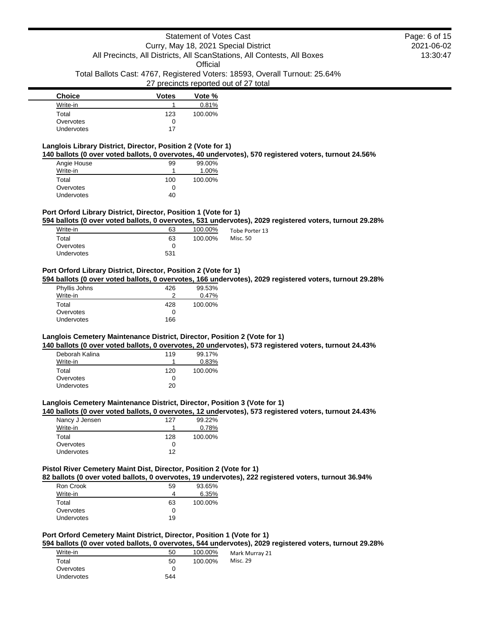# Statement of Votes Cast Curry, May 18, 2021 Special District All Precincts, All Districts, All ScanStations, All Contests, All Boxes **Official** Total Ballots Cast: 4767, Registered Voters: 18593, Overall Turnout: 25.64% 27 precincts reported out of 27 total

| <b>Choice</b> | <b>Votes</b> | Vote %  |
|---------------|--------------|---------|
| Write-in      |              | 0.81%   |
| Total         | 123          | 100.00% |
| Overvotes     |              |         |
| Undervotes    | 17           |         |

# **Langlois Library District, Director, Position 2 (Vote for 1)**

**140 ballots (0 over voted ballots, 0 overvotes, 40 undervotes), 570 registered voters, turnout 24.56%**

| Angie House | 99  | 99.00%   |
|-------------|-----|----------|
| Write-in    |     | $1.00\%$ |
| Total       | 100 | 100.00%  |
| Overvotes   | 0   |          |
| Undervotes  | 40  |          |

# **Port Orford Library District, Director, Position 1 (Vote for 1)**

**594 ballots (0 over voted ballots, 0 overvotes, 531 undervotes), 2029 registered voters, turnout 29.28%**

| Write-in   | 63  | 100.00% | Tobe Porter 13 |
|------------|-----|---------|----------------|
| Total      | 63  | 100.00% | Misc. 50       |
| Overvotes  |     |         |                |
| Undervotes | 531 |         |                |

# **Port Orford Library District, Director, Position 2 (Vote for 1)**

**594 ballots (0 over voted ballots, 0 overvotes, 166 undervotes), 2029 registered voters, turnout 29.28%**

| Phyllis Johns | 426 | 99.53%  |
|---------------|-----|---------|
| Write-in      | າ   | 0.47%   |
| Total         | 428 | 100.00% |
| Overvotes     | U   |         |
| Undervotes    | 166 |         |

### **Langlois Cemetery Maintenance District, Director, Position 2 (Vote for 1)**

**140 ballots (0 over voted ballots, 0 overvotes, 20 undervotes), 573 registered voters, turnout 24.43%**

| Deborah Kalina | 119 | 99.17%  |
|----------------|-----|---------|
| Write-in       |     | 0.83%   |
| Total          | 120 | 100.00% |
| Overvotes      | O   |         |
| Undervotes     | 20  |         |

#### **Langlois Cemetery Maintenance District, Director, Position 3 (Vote for 1)**

**140 ballots (0 over voted ballots, 0 overvotes, 12 undervotes), 573 registered voters, turnout 24.43%**

| Nancy J Jensen    | 127 | 99.22%  |
|-------------------|-----|---------|
| Write-in          |     | 0.78%   |
| Total             | 128 | 100.00% |
| Overvotes         | O   |         |
| <b>Undervotes</b> | 12  |         |

# **Pistol River Cemetery Maint Dist, Director, Position 2 (Vote for 1)**

**82 ballots (0 over voted ballots, 0 overvotes, 19 undervotes), 222 registered voters, turnout 36.94%**

| Ron Crook  | 59 | 93.65%  |
|------------|----|---------|
| Write-in   |    | 6.35%   |
| Total      | 63 | 100.00% |
| Overvotes  | 0  |         |
| Undervotes | 19 |         |

# **Port Orford Cemetery Maint District, Director, Position 1 (Vote for 1)**

**594 ballots (0 over voted ballots, 0 overvotes, 544 undervotes), 2029 registered voters, turnout 29.28%**

21

| Write-in   | 50  | 100.00% | Mark Murray |
|------------|-----|---------|-------------|
| Total      | 50  | 100.00% | Misc. 29    |
| Overvotes  |     |         |             |
| Undervotes | 544 |         |             |
|            |     |         |             |

2021-06-02 13:30:47 Page: 6 of 15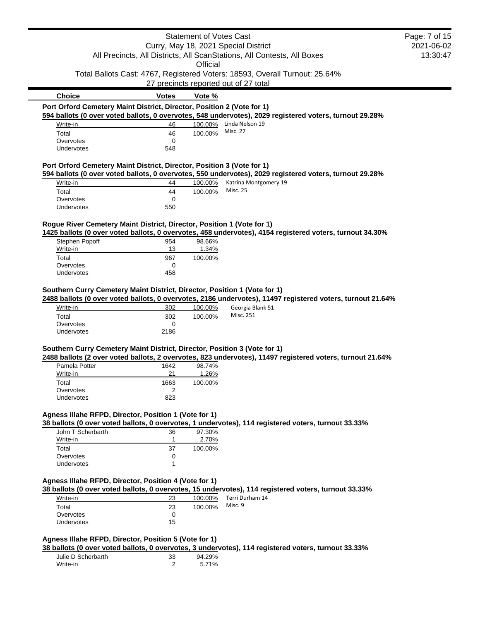|                                                                           |                      | <b>Statement of Votes Cast</b> |                                                                                                                            | Page: 7 of 15          |
|---------------------------------------------------------------------------|----------------------|--------------------------------|----------------------------------------------------------------------------------------------------------------------------|------------------------|
|                                                                           |                      |                                | Curry, May 18, 2021 Special District<br>All Precincts, All Districts, All ScanStations, All Contests, All Boxes            | 2021-06-02<br>13:30:47 |
|                                                                           |                      | Official                       |                                                                                                                            |                        |
|                                                                           |                      |                                | Total Ballots Cast: 4767, Registered Voters: 18593, Overall Turnout: 25.64%                                                |                        |
|                                                                           |                      |                                | 27 precincts reported out of 27 total                                                                                      |                        |
| <b>Choice</b>                                                             | <b>Votes</b>         | Vote %                         |                                                                                                                            |                        |
| Port Orford Cemetery Maint District, Director, Position 2 (Vote for 1)    |                      |                                |                                                                                                                            |                        |
| Write-in                                                                  | 46                   | 100.00%                        | 594 ballots (0 over voted ballots, 0 overvotes, 548 undervotes), 2029 registered voters, turnout 29.28%<br>Linda Nelson 19 |                        |
| Total                                                                     | 46                   | 100.00%                        | <b>Misc. 27</b>                                                                                                            |                        |
| Overvotes                                                                 | 0                    |                                |                                                                                                                            |                        |
| Undervotes                                                                | 548                  |                                |                                                                                                                            |                        |
| Port Orford Cemetery Maint District, Director, Position 3 (Vote for 1)    |                      |                                |                                                                                                                            |                        |
|                                                                           |                      |                                | 594 ballots (0 over voted ballots, 0 overvotes, 550 undervotes), 2029 registered voters, turnout 29.28%                    |                        |
| Write-in                                                                  | 44                   | 100.00%                        | Katrina Montgomery 19                                                                                                      |                        |
| Total                                                                     | 44                   | 100.00%                        | <b>Misc. 25</b>                                                                                                            |                        |
| Overvotes                                                                 | 0                    |                                |                                                                                                                            |                        |
| Undervotes                                                                | 550                  |                                |                                                                                                                            |                        |
| Rogue River Cemetery Maint District, Director, Position 1 (Vote for 1)    |                      |                                |                                                                                                                            |                        |
|                                                                           |                      |                                | 1425 ballots (0 over voted ballots, 0 overvotes, 458 undervotes), 4154 registered voters, turnout 34.30%                   |                        |
| Stephen Popoff                                                            | 954                  | 98.66%                         |                                                                                                                            |                        |
| Write-in                                                                  | 13                   | 1.34%                          |                                                                                                                            |                        |
| Total                                                                     | 967                  | 100.00%                        |                                                                                                                            |                        |
| Overvotes                                                                 | 0                    |                                |                                                                                                                            |                        |
| Undervotes                                                                | 458                  |                                |                                                                                                                            |                        |
| Total<br>Overvotes<br>Undervotes                                          | 302<br>0<br>2186     | 100.00%                        |                                                                                                                            |                        |
|                                                                           |                      |                                |                                                                                                                            |                        |
| Southern Curry Cemetery Maint District, Director, Position 3 (Vote for 1) |                      |                                | 2488 ballots (2 over voted ballots, 2 overvotes, 823 undervotes), 11497 registered voters, turnout 21.64%                  |                        |
| Pamela Potter                                                             | 1642                 | 98.74%                         |                                                                                                                            |                        |
| Write-in                                                                  | 21                   | 1.26%                          |                                                                                                                            |                        |
| Total                                                                     | 1663                 | 100.00%                        |                                                                                                                            |                        |
| Overvotes                                                                 | $\overline{2}$       |                                |                                                                                                                            |                        |
| Undervotes                                                                | 823                  |                                |                                                                                                                            |                        |
| Agness Illahe RFPD, Director, Position 1 (Vote for 1)                     |                      |                                |                                                                                                                            |                        |
| John T Scherbarth                                                         | 36                   | 97.30%                         | 38 ballots (0 over voted ballots, 0 overvotes, 1 undervotes), 114 registered voters, turnout 33.33%                        |                        |
| Write-in                                                                  | -1                   | 2.70%                          |                                                                                                                            |                        |
| Total                                                                     | 37                   | 100.00%                        |                                                                                                                            |                        |
| Overvotes                                                                 | 0                    |                                |                                                                                                                            |                        |
| Undervotes                                                                | 1                    |                                |                                                                                                                            |                        |
|                                                                           |                      |                                |                                                                                                                            |                        |
| Agness Illahe RFPD, Director, Position 4 (Vote for 1)                     |                      |                                | 38 ballots (0 over voted ballots, 0 overvotes, 15 undervotes), 114 registered voters, turnout 33.33%                       |                        |
| Write-in                                                                  | 23                   | 100.00%                        | Terri Durham 14                                                                                                            |                        |
| Total                                                                     | 23                   | 100.00%                        | Misc. 9                                                                                                                    |                        |
| Overvotes                                                                 | 0                    |                                |                                                                                                                            |                        |
| Undervotes                                                                | 15                   |                                |                                                                                                                            |                        |
| Agness Illahe RFPD, Director, Position 5 (Vote for 1)                     |                      |                                |                                                                                                                            |                        |
|                                                                           |                      |                                | 38 ballots (0 over voted ballots, 0 overvotes, 3 undervotes), 114 registered voters, turnout 33.33%                        |                        |
| Julie D Scherbarth<br>Write-in                                            | 33<br>$\overline{2}$ | 94.29%<br>5.71%                |                                                                                                                            |                        |
|                                                                           |                      |                                |                                                                                                                            |                        |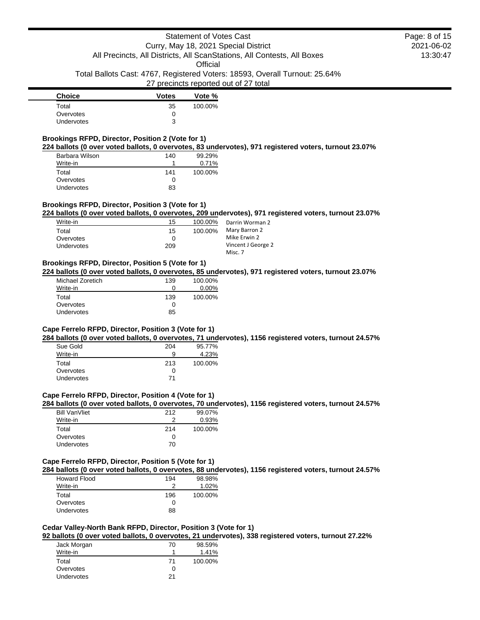Total Ballots Cast: 4767, Registered Voters: 18593, Overall Turnout: 25.64%

### 27 precincts reported out of 27 total

| <b>Choice</b> | <b>Votes</b> | Vote %  |
|---------------|--------------|---------|
| Total         | 35           | 100.00% |
| Overvotes     | 0            |         |
| Undervotes    | 3            |         |

# **Brookings RFPD, Director, Position 2 (Vote for 1)**

**224 ballots (0 over voted ballots, 0 overvotes, 83 undervotes), 971 registered voters, turnout 23.07%**

| Barbara Wilson | 140 | 99.29%  |
|----------------|-----|---------|
| Write-in       |     | 0.71%   |
| Total          | 141 | 100.00% |
| Overvotes      | Ω   |         |
| Undervotes     | 83  |         |

### **Brookings RFPD, Director, Position 3 (Vote for 1)**

**224 ballots (0 over voted ballots, 0 overvotes, 209 undervotes), 971 registered voters, turnout 23.07%**

| Write-in          | 15       | 100.00% | Darrin Worman 2    |
|-------------------|----------|---------|--------------------|
| Total             | 15       | 100.00% | Mary Barron 2      |
| Overvotes         | $\Omega$ |         | Mike Erwin 2       |
| <b>Undervotes</b> | 209      |         | Vincent J George 2 |
|                   |          |         | Misc. 7            |

# **Brookings RFPD, Director, Position 5 (Vote for 1)**

**224 ballots (0 over voted ballots, 0 overvotes, 85 undervotes), 971 registered voters, turnout 23.07%**

| Michael Zoretich | 139 | 100.00%  |
|------------------|-----|----------|
| Write-in         | 0   | $0.00\%$ |
| Total            | 139 | 100.00%  |
| Overvotes        | Ω   |          |
| Undervotes       | 85  |          |

#### **Cape Ferrelo RFPD, Director, Position 3 (Vote for 1)**

**284 ballots (0 over voted ballots, 0 overvotes, 71 undervotes), 1156 registered voters, turnout 24.57%**

| Sue Gold          | 204 | 95.77%  |
|-------------------|-----|---------|
| Write-in          | 9   | 4.23%   |
| Total             | 213 | 100.00% |
| Overvotes         | 0   |         |
| <b>Undervotes</b> | 71  |         |

# **Cape Ferrelo RFPD, Director, Position 4 (Vote for 1)**

**284 ballots (0 over voted ballots, 0 overvotes, 70 undervotes), 1156 registered voters, turnout 24.57%**

| <b>Bill VanVliet</b> | 212 | 99.07%  |
|----------------------|-----|---------|
| Write-in             |     | 0.93%   |
| Total                | 214 | 100.00% |
| Overvotes            | 0   |         |
| <b>Undervotes</b>    | 70  |         |

#### **Cape Ferrelo RFPD, Director, Position 5 (Vote for 1)**

**284 ballots (0 over voted ballots, 0 overvotes, 88 undervotes), 1156 registered voters, turnout 24.57%**

| <b>Howard Flood</b> | 194          | 98.98%  |
|---------------------|--------------|---------|
| Write-in            | າ            | 1.02%   |
| Total               | 196          | 100.00% |
| Overvotes           | $\mathbf{I}$ |         |
| Undervotes          | 88           |         |

# **Cedar Valley-North Bank RFPD, Director, Position 3 (Vote for 1)**

**92 ballots (0 over voted ballots, 0 overvotes, 21 undervotes), 338 registered voters, turnout 27.22%**

| Jack Morgan       | 70 | 98.59%  |
|-------------------|----|---------|
| Write-in          |    | 1.41%   |
| Total             | 71 | 100.00% |
| Overvotes         |    |         |
| <b>Undervotes</b> | 21 |         |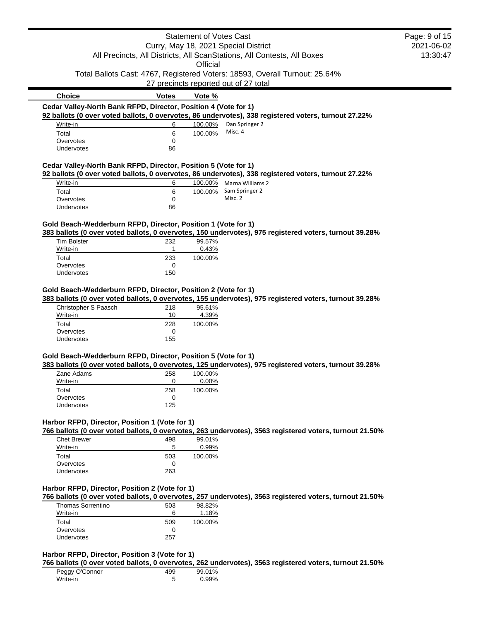|                                                                           |              | Statement of Votes Cast |                                                                                                         | Page: 9 of 15 |
|---------------------------------------------------------------------------|--------------|-------------------------|---------------------------------------------------------------------------------------------------------|---------------|
|                                                                           |              |                         | Curry, May 18, 2021 Special District                                                                    | 2021-06-02    |
|                                                                           |              |                         | All Precincts, All Districts, All ScanStations, All Contests, All Boxes                                 | 13:30:47      |
|                                                                           |              | Official                |                                                                                                         |               |
|                                                                           |              |                         | Total Ballots Cast: 4767, Registered Voters: 18593, Overall Turnout: 25.64%                             |               |
|                                                                           |              |                         | 27 precincts reported out of 27 total                                                                   |               |
| <b>Choice</b>                                                             | <b>Votes</b> | Vote %                  |                                                                                                         |               |
| Cedar Valley-North Bank RFPD, Director, Position 4 (Vote for 1)           |              |                         |                                                                                                         |               |
|                                                                           |              |                         | 92 ballots (0 over voted ballots, 0 overvotes, 86 undervotes), 338 registered voters, turnout 27.22%    |               |
| Write-in                                                                  | 6            | 100.00%<br>100.00%      | Dan Springer 2<br>Misc. 4                                                                               |               |
| Total<br>Overvotes                                                        | 6<br>0       |                         |                                                                                                         |               |
| Undervotes                                                                | 86           |                         |                                                                                                         |               |
|                                                                           |              |                         |                                                                                                         |               |
| Cedar Valley-North Bank RFPD, Director, Position 5 (Vote for 1)           |              |                         | 92 ballots (0 over voted ballots, 0 overvotes, 86 undervotes), 338 registered voters, turnout 27.22%    |               |
| Write-in                                                                  | 6            |                         | 100.00% Marna Williams 2                                                                                |               |
| Total                                                                     | 6            | 100.00%                 | Sam Springer 2                                                                                          |               |
| Overvotes                                                                 | 0            |                         | Misc. 2                                                                                                 |               |
| Undervotes                                                                | 86           |                         |                                                                                                         |               |
|                                                                           |              |                         |                                                                                                         |               |
| Gold Beach-Wedderburn RFPD, Director, Position 1 (Vote for 1)             |              |                         | 383 ballots (0 over voted ballots, 0 overvotes, 150 undervotes), 975 registered voters, turnout 39.28%  |               |
| <b>Tim Bolster</b>                                                        | 232          | 99.57%                  |                                                                                                         |               |
| Write-in                                                                  | 1            | 0.43%                   |                                                                                                         |               |
| Total                                                                     | 233          | 100.00%                 |                                                                                                         |               |
| Overvotes                                                                 | 0            |                         |                                                                                                         |               |
| Undervotes                                                                | 150          |                         |                                                                                                         |               |
| Christopher S Paasch<br>Write-in                                          | 218<br>10    | 95.61%<br>4.39%         | 383 ballots (0 over voted ballots, 0 overvotes, 155 undervotes), 975 registered voters, turnout 39.28%  |               |
| Total                                                                     | 228          | 100.00%                 |                                                                                                         |               |
| Overvotes                                                                 | 0            |                         |                                                                                                         |               |
| Undervotes                                                                | 155          |                         |                                                                                                         |               |
| Gold Beach-Wedderburn RFPD, Director, Position 5 (Vote for 1)             |              |                         | 383 ballots (0 over voted ballots, 0 overvotes, 125 undervotes), 975 registered voters, turnout 39.28%  |               |
| Zane Adams                                                                | 258          | 100.00%                 |                                                                                                         |               |
| Write-in                                                                  | 0            | 0.00%                   |                                                                                                         |               |
| Total                                                                     | 258          | 100.00%                 |                                                                                                         |               |
| Overvotes                                                                 | 0            |                         |                                                                                                         |               |
| <b>Undervotes</b>                                                         | 125          |                         |                                                                                                         |               |
| Harbor RFPD, Director, Position 1 (Vote for 1)                            |              |                         |                                                                                                         |               |
|                                                                           |              |                         | 766 ballots (0 over voted ballots, 0 overvotes, 263 undervotes), 3563 registered voters, turnout 21.50% |               |
|                                                                           |              |                         |                                                                                                         |               |
| <b>Chet Brewer</b>                                                        | 498          | 99.01%                  |                                                                                                         |               |
| Write-in                                                                  | 5            | 0.99%                   |                                                                                                         |               |
| Total                                                                     | 503          | 100.00%                 |                                                                                                         |               |
| Overvotes                                                                 | 0            |                         |                                                                                                         |               |
| Undervotes                                                                | 263          |                         |                                                                                                         |               |
|                                                                           |              |                         |                                                                                                         |               |
|                                                                           |              |                         |                                                                                                         |               |
| Thomas Sorrentino                                                         | 503          | 98.82%                  | 766 ballots (0 over voted ballots, 0 overvotes, 257 undervotes), 3563 registered voters, turnout 21.50% |               |
| Write-in                                                                  | 6            | 1.18%                   |                                                                                                         |               |
| Total                                                                     | 509          | 100.00%                 |                                                                                                         |               |
| Harbor RFPD, Director, Position 2 (Vote for 1)<br>Overvotes<br>Undervotes | 0<br>257     |                         |                                                                                                         |               |

| Peggy O'Connor | 499 | 99.01% |
|----------------|-----|--------|
| Write-in       | ħ   | 0.99%  |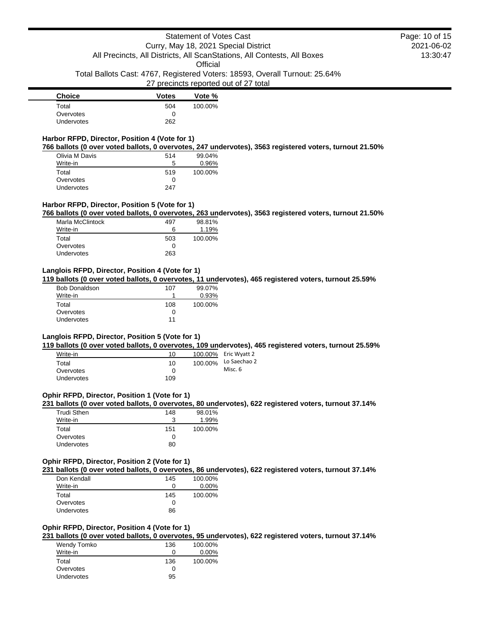Total Ballots Cast: 4767, Registered Voters: 18593, Overall Turnout: 25.64%

### 27 precincts reported out of 27 total

| <b>Choice</b>     | <b>Votes</b> | Vote %  |
|-------------------|--------------|---------|
| Total             | 504          | 100.00% |
| Overvotes         |              |         |
| <b>Undervotes</b> | 262          |         |

# **Harbor RFPD, Director, Position 4 (Vote for 1)**

**766 ballots (0 over voted ballots, 0 overvotes, 247 undervotes), 3563 registered voters, turnout 21.50%**

| Olivia M Davis    | 514 | 99.04%  |
|-------------------|-----|---------|
| Write-in          | 5   | 0.96%   |
| Total             | 519 | 100.00% |
| Overvotes         | 0   |         |
| <b>Undervotes</b> | 247 |         |

### **Harbor RFPD, Director, Position 5 (Vote for 1)**

**766 ballots (0 over voted ballots, 0 overvotes, 263 undervotes), 3563 registered voters, turnout 21.50%**

| 497 | 98.81%  |
|-----|---------|
| 6   | 1.19%   |
| 503 | 100.00% |
| O   |         |
| 263 |         |
|     |         |

# **Langlois RFPD, Director, Position 4 (Vote for 1)**

**119 ballots (0 over voted ballots, 0 overvotes, 11 undervotes), 465 registered voters, turnout 25.59%**

| <b>Bob Donaldson</b> | 107 | 99.07%  |
|----------------------|-----|---------|
| Write-in             |     | 0.93%   |
| Total                | 108 | 100.00% |
| Overvotes            | O   |         |
| <b>Undervotes</b>    | 11  |         |

## **Langlois RFPD, Director, Position 5 (Vote for 1)**

**119 ballots (0 over voted ballots, 0 overvotes, 109 undervotes), 465 registered voters, turnout 25.59%**

| Write-in          | 10  |         | 100.00% Eric Wyatt 2 |
|-------------------|-----|---------|----------------------|
| Total             | 10  | 100.00% | Lo Saechao 2         |
| Overvotes         |     |         | Misc. 6              |
| <b>Undervotes</b> | 109 |         |                      |

#### **Ophir RFPD, Director, Position 1 (Vote for 1)**

# **231 ballots (0 over voted ballots, 0 overvotes, 80 undervotes), 622 registered voters, turnout 37.14%**

| Trudi Sthen       | 148 | 98.01%  |
|-------------------|-----|---------|
| Write-in          | 3   | 1.99%   |
| Total             | 151 | 100.00% |
| Overvotes         | 0   |         |
| <b>Undervotes</b> | 80  |         |

#### **Ophir RFPD, Director, Position 2 (Vote for 1)**

**231 ballots (0 over voted ballots, 0 overvotes, 86 undervotes), 622 registered voters, turnout 37.14%**

| Don Kendall | 145 | 100.00%  |
|-------------|-----|----------|
| Write-in    | 0   | $0.00\%$ |
| Total       | 145 | 100.00%  |
| Overvotes   | 0   |          |
| Undervotes  | 86  |          |

# **Ophir RFPD, Director, Position 4 (Vote for 1)**

**231 ballots (0 over voted ballots, 0 overvotes, 95 undervotes), 622 registered voters, turnout 37.14%**

| Wendy Tomko       | 136 | 100.00%  |
|-------------------|-----|----------|
| Write-in          |     | $0.00\%$ |
| Total             | 136 | 100.00%  |
| Overvotes         |     |          |
| <b>Undervotes</b> | 95  |          |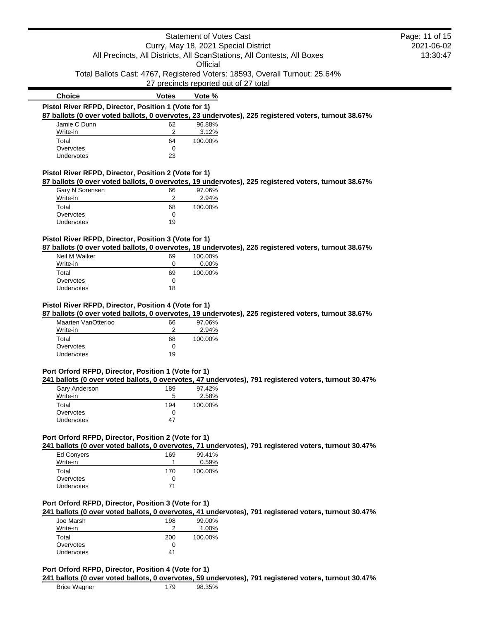|                                                      |              | <b>Statement of Votes Cast</b> |                                                                                                      | Page: 11 of 15 |
|------------------------------------------------------|--------------|--------------------------------|------------------------------------------------------------------------------------------------------|----------------|
|                                                      |              |                                | Curry, May 18, 2021 Special District                                                                 | 2021-06-02     |
|                                                      |              |                                | All Precincts, All Districts, All ScanStations, All Contests, All Boxes                              | 13:30:47       |
|                                                      |              | Official                       |                                                                                                      |                |
|                                                      |              |                                | Total Ballots Cast: 4767, Registered Voters: 18593, Overall Turnout: 25.64%                          |                |
|                                                      |              |                                | 27 precincts reported out of 27 total                                                                |                |
| <b>Choice</b>                                        | <b>Votes</b> | Vote %                         |                                                                                                      |                |
| Pistol River RFPD, Director, Position 1 (Vote for 1) |              |                                |                                                                                                      |                |
|                                                      |              |                                | 87 ballots (0 over voted ballots, 0 overvotes, 23 undervotes), 225 registered voters, turnout 38.67% |                |
| Jamie C Dunn                                         | 62           | 96.88%                         |                                                                                                      |                |
| Write-in                                             |              | 3.12%                          |                                                                                                      |                |
| Total                                                | 64           | 100.00%                        |                                                                                                      |                |
| Overvotes                                            | 0            |                                |                                                                                                      |                |
| <b>Undervotes</b>                                    | 23           |                                |                                                                                                      |                |
| Pistol River RFPD, Director, Position 2 (Vote for 1) |              |                                |                                                                                                      |                |
|                                                      |              |                                | 87 ballots (0 over voted ballots, 0 overvotes, 19 undervotes), 225 registered voters, turnout 38.67% |                |
| Gary N Sorensen                                      | 66           | 97.06%                         |                                                                                                      |                |
|                                                      |              | 2.94%                          |                                                                                                      |                |
| Write-in                                             |              |                                |                                                                                                      |                |
| Total                                                | 68           | 100.00%                        |                                                                                                      |                |
| Overvotes                                            | 0            |                                |                                                                                                      |                |

| Neil M Walker | 69 | 100.00%  |
|---------------|----|----------|
| Write-in      | O  | $0.00\%$ |
| Total         | 69 | 100.00%  |
| Overvotes     | 0  |          |
| Undervotes    | 18 |          |

### **Pistol River RFPD, Director, Position 4 (Vote for 1)**

**87 ballots (0 over voted ballots, 0 overvotes, 19 undervotes), 225 registered voters, turnout 38.67%**

| Maarten VanOtterloo | 66 | 97.06%  |
|---------------------|----|---------|
| Write-in            |    | 2.94%   |
| Total               | 68 | 100.00% |
| Overvotes           | 0  |         |
| Undervotes          | 19 |         |

#### **Port Orford RFPD, Director, Position 1 (Vote for 1)**

**241 ballots (0 over voted ballots, 0 overvotes, 47 undervotes), 791 registered voters, turnout 30.47%**

| Gary Anderson     | 189 | 97.42%  |
|-------------------|-----|---------|
| Write-in          | 5   | 2.58%   |
| Total             | 194 | 100.00% |
| Overvotes         | 0   |         |
| <b>Undervotes</b> | 47  |         |

### **Port Orford RFPD, Director, Position 2 (Vote for 1)**

**241 ballots (0 over voted ballots, 0 overvotes, 71 undervotes), 791 registered voters, turnout 30.47%**

| Ed Convers | 169 | 99.41%  |
|------------|-----|---------|
| Write-in   |     | 0.59%   |
| Total      | 170 | 100.00% |
| Overvotes  | 0   |         |
| Undervotes | 71  |         |

# **Port Orford RFPD, Director, Position 3 (Vote for 1)**

**241 ballots (0 over voted ballots, 0 overvotes, 41 undervotes), 791 registered voters, turnout 30.47%**

| 198 | 99.00%  |
|-----|---------|
| າ   | 1.00%   |
| 200 | 100.00% |
| 0   |         |
| 41  |         |
|     |         |

# **Port Orford RFPD, Director, Position 4 (Vote for 1)**

**241 ballots (0 over voted ballots, 0 overvotes, 59 undervotes), 791 registered voters, turnout 30.47%**

Brice Wagner 179 98.35%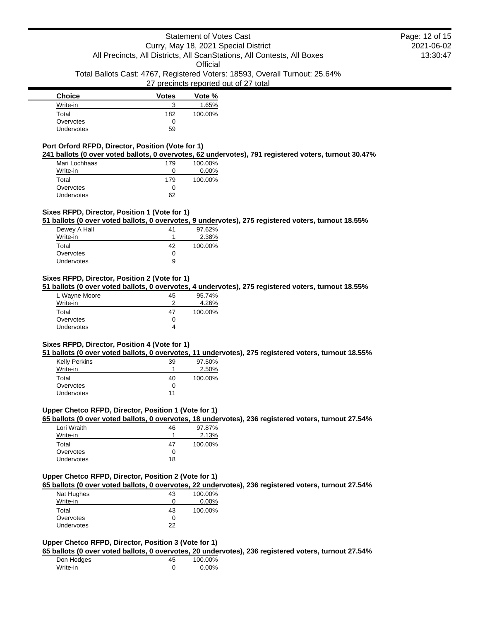# Statement of Votes Cast Curry, May 18, 2021 Special District All Precincts, All Districts, All ScanStations, All Contests, All Boxes **Official** Total Ballots Cast: 4767, Registered Voters: 18593, Overall Turnout: 25.64% 27 precincts reported out of 27 total

| <b>Choice</b> | <b>Votes</b> | Vote %  |
|---------------|--------------|---------|
| Write-in      |              | 1.65%   |
| Total         | 182          | 100.00% |
| Overvotes     |              |         |
| Undervotes    | 59           |         |

# **Port Orford RFPD, Director, Position (Vote for 1)**

**241 ballots (0 over voted ballots, 0 overvotes, 62 undervotes), 791 registered voters, turnout 30.47%**

| Mari Lochhaas | 179 | 100.00%  |
|---------------|-----|----------|
| Write-in      | Ω   | $0.00\%$ |
| Total         | 179 | 100.00%  |
| Overvotes     | O   |          |
| Undervotes    | 62  |          |

### **Sixes RFPD, Director, Position 1 (Vote for 1)**

**51 ballots (0 over voted ballots, 0 overvotes, 9 undervotes), 275 registered voters, turnout 18.55%**

| Dewey A Hall | 41           | 97.62%  |
|--------------|--------------|---------|
| Write-in     |              | 2.38%   |
| Total        | 42           | 100.00% |
| Overvotes    | $\mathbf{0}$ |         |
| Undervotes   | 9            |         |

#### **Sixes RFPD, Director, Position 2 (Vote for 1)**

**51 ballots (0 over voted ballots, 0 overvotes, 4 undervotes), 275 registered voters, turnout 18.55%**

| L Wayne Moore     | 45 | 95.74%  |
|-------------------|----|---------|
| Write-in          | າ  | 4.26%   |
| Total             | 47 | 100.00% |
| Overvotes         | 0  |         |
| <b>Undervotes</b> | 4  |         |

### **Sixes RFPD, Director, Position 4 (Vote for 1)**

**51 ballots (0 over voted ballots, 0 overvotes, 11 undervotes), 275 registered voters, turnout 18.55%**

| <b>Kelly Perkins</b> | 39 | 97.50%  |
|----------------------|----|---------|
| Write-in             |    | 2.50%   |
| Total                | 40 | 100.00% |
| Overvotes            | 0  |         |
| <b>Undervotes</b>    | 11 |         |

#### **Upper Chetco RFPD, Director, Position 1 (Vote for 1)**

**65 ballots (0 over voted ballots, 0 overvotes, 18 undervotes), 236 registered voters, turnout 27.54%**

| Lori Wraith | 46 | 97.87%  |
|-------------|----|---------|
| Write-in    | и  | 2.13%   |
| Total       | 47 | 100.00% |
| Overvotes   | 0  |         |
| Undervotes  | 18 |         |

# **Upper Chetco RFPD, Director, Position 2 (Vote for 1)**

**65 ballots (0 over voted ballots, 0 overvotes, 22 undervotes), 236 registered voters, turnout 27.54%**

| Nat Hughes        | 43 | 100.00%  |
|-------------------|----|----------|
| Write-in          | 0  | $0.00\%$ |
| Total             | 43 | 100.00%  |
| Overvotes         | 0  |          |
| <b>Undervotes</b> | 22 |          |

# **Upper Chetco RFPD, Director, Position 3 (Vote for 1)**

**65 ballots (0 over voted ballots, 0 overvotes, 20 undervotes), 236 registered voters, turnout 27.54%**

| Don Hodges | 45 | 100.00% |
|------------|----|---------|
| Write-in   |    | 0.00%   |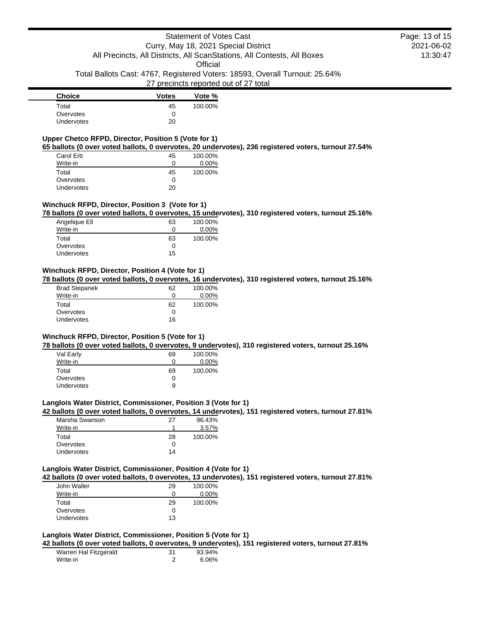**Official** 

Total Ballots Cast: 4767, Registered Voters: 18593, Overall Turnout: 25.64%

### 27 precincts reported out of 27 total

| <b>Choice</b>     | <b>Votes</b> | Vote %  |
|-------------------|--------------|---------|
| Total             | 45           | 100.00% |
| Overvotes         |              |         |
| <b>Undervotes</b> | 20           |         |

# **Upper Chetco RFPD, Director, Position 5 (Vote for 1)**

**65 ballots (0 over voted ballots, 0 overvotes, 20 undervotes), 236 registered voters, turnout 27.54%**

| Carol Erb  | 45  | 100.00%  |
|------------|-----|----------|
| Write-in   | 0   | $0.00\%$ |
| Total      | 45  | 100.00%  |
| Overvotes  | 0   |          |
| Undervotes | 20. |          |

### **Winchuck RFPD, Director, Position 3 (Vote for 1)**

**78 ballots (0 over voted ballots, 0 overvotes, 15 undervotes), 310 registered voters, turnout 25.16%**

| Angelique Ell     | 63 | 100.00%  |
|-------------------|----|----------|
| Write-in          | Ω  | $0.00\%$ |
| Total             | 63 | 100.00%  |
| Overvotes         | 0  |          |
| <b>Undervotes</b> | 15 |          |
|                   |    |          |

### **Winchuck RFPD, Director, Position 4 (Vote for 1)**

**78 ballots (0 over voted ballots, 0 overvotes, 16 undervotes), 310 registered voters, turnout 25.16%**

| <b>Brad Stepanek</b><br>Write-in | 62<br>0 | 100.00%<br>$0.00\%$ |
|----------------------------------|---------|---------------------|
|                                  |         |                     |
| Total                            | 62      | 100.00%             |
| Overvotes                        | 0       |                     |
| Undervotes                       | 16      |                     |

## **Winchuck RFPD, Director, Position 5 (Vote for 1)**

**78 ballots (0 over voted ballots, 0 overvotes, 9 undervotes), 310 registered voters, turnout 25.16%**

| Val Early         | 69 | 100.00%  |
|-------------------|----|----------|
| Write-in          | 0  | $0.00\%$ |
| Total             | 69 | 100.00%  |
| Overvotes         | 0  |          |
| <b>Undervotes</b> | 9  |          |

### **Langlois Water District, Commissioner, Position 3 (Vote for 1)**

**42 ballots (0 over voted ballots, 0 overvotes, 14 undervotes), 151 registered voters, turnout 27.81%**

| Marsha Swanson    | 27 | 96.43%  |
|-------------------|----|---------|
| Write-in          |    | 3.57%   |
| Total             | 28 | 100.00% |
| Overvotes         | 0  |         |
| <b>Undervotes</b> | 14 |         |

### **Langlois Water District, Commissioner, Position 4 (Vote for 1)**

**42 ballots (0 over voted ballots, 0 overvotes, 13 undervotes), 151 registered voters, turnout 27.81%**

| John Waller       | 29 | 100.00%  |
|-------------------|----|----------|
| Write-in          | Ω  | $0.00\%$ |
| Total             | 29 | 100.00%  |
| Overvotes         | Ω  |          |
| <b>Undervotes</b> | 13 |          |

### **Langlois Water District, Commissioner, Position 5 (Vote for 1)**

**42 ballots (0 over voted ballots, 0 overvotes, 9 undervotes), 151 registered voters, turnout 27.81%**

| Warren Hal Fitzgerald | 31 | 93.94% |
|-----------------------|----|--------|
| Write-in              |    | 6.06%  |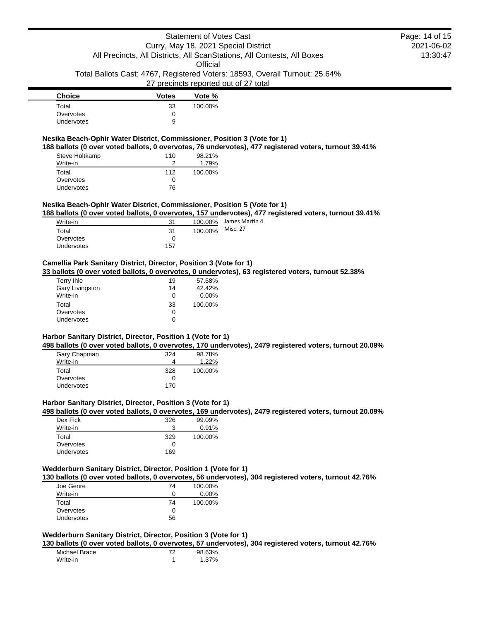Total Ballots Cast: 4767, Registered Voters: 18593, Overall Turnout: 25.64%

# 27 precincts reported out of 27 total

| <b>Choice</b>     | <b>Votes</b> | Vote %  |
|-------------------|--------------|---------|
| Total             | 33           | 100.00% |
| Overvotes         |              |         |
| <b>Undervotes</b> | 9            |         |

# **Nesika Beach-Ophir Water District, Commissioner, Position 3 (Vote for 1)**

**188 ballots (0 over voted ballots, 0 overvotes, 76 undervotes), 477 registered voters, turnout 39.41%**

| Steve Holtkamp    | 110 | 98.21%  |
|-------------------|-----|---------|
| Write-in          |     | 1.79%   |
| Total             | 112 | 100.00% |
| Overvotes         | O   |         |
| <b>Undervotes</b> | 76  |         |

### **Nesika Beach-Ophir Water District, Commissioner, Position 5 (Vote for 1)**

**188 ballots (0 over voted ballots, 0 overvotes, 157 undervotes), 477 registered voters, turnout 39.41%**

| Write-in          | 31  | 100.00% | James Martin 4 |
|-------------------|-----|---------|----------------|
| Total             | -31 | 100.00% | Misc. 27       |
| Overvotes         |     |         |                |
| <b>Undervotes</b> | 157 |         |                |

# **Camellia Park Sanitary District, Director, Position 3 (Vote for 1)**

**33 ballots (0 over voted ballots, 0 overvotes, 0 undervotes), 63 registered voters, turnout 52.38%**

| Terry Ihle      | 19 | 57.58%    |
|-----------------|----|-----------|
| Gary Livingston | 14 | $42.42\%$ |
| Write-in        | Ω  | $0.00\%$  |
| Total           | 33 | 100.00%   |
| Overvotes       | 0  |           |
| Undervotes      | O  |           |

# **Harbor Sanitary District, Director, Position 1 (Vote for 1)**

**498 ballots (0 over voted ballots, 0 overvotes, 170 undervotes), 2479 registered voters, turnout 20.09%**

| Gary Chapman | 324 | 98.78%  |
|--------------|-----|---------|
| Write-in     |     | 1.22%   |
| Total        | 328 | 100.00% |
| Overvotes    | 0   |         |
| Undervotes   | 170 |         |

#### **Harbor Sanitary District, Director, Position 3 (Vote for 1)**

**498 ballots (0 over voted ballots, 0 overvotes, 169 undervotes), 2479 registered voters, turnout 20.09%**

| Dex Fick          | 326 | 99.09%  |
|-------------------|-----|---------|
| Write-in          | З   | 0.91%   |
| Total             | 329 | 100.00% |
| Overvotes         | O   |         |
| <b>Undervotes</b> | 169 |         |

### **Wedderburn Sanitary District, Director, Position 1 (Vote for 1)**

**130 ballots (0 over voted ballots, 0 overvotes, 56 undervotes), 304 registered voters, turnout 42.76%**

| Joe Genre  | 74 | 100.00%  |
|------------|----|----------|
| Write-in   | 0  | $0.00\%$ |
| Total      | 74 | 100.00%  |
| Overvotes  | 0  |          |
| Undervotes | 56 |          |

# **Wedderburn Sanitary District, Director, Position 3 (Vote for 1)**

**130 ballots (0 over voted ballots, 0 overvotes, 57 undervotes), 304 registered voters, turnout 42.76%**

| Michael Brace | 98.63% |
|---------------|--------|
| Write-in      | 1.37%  |